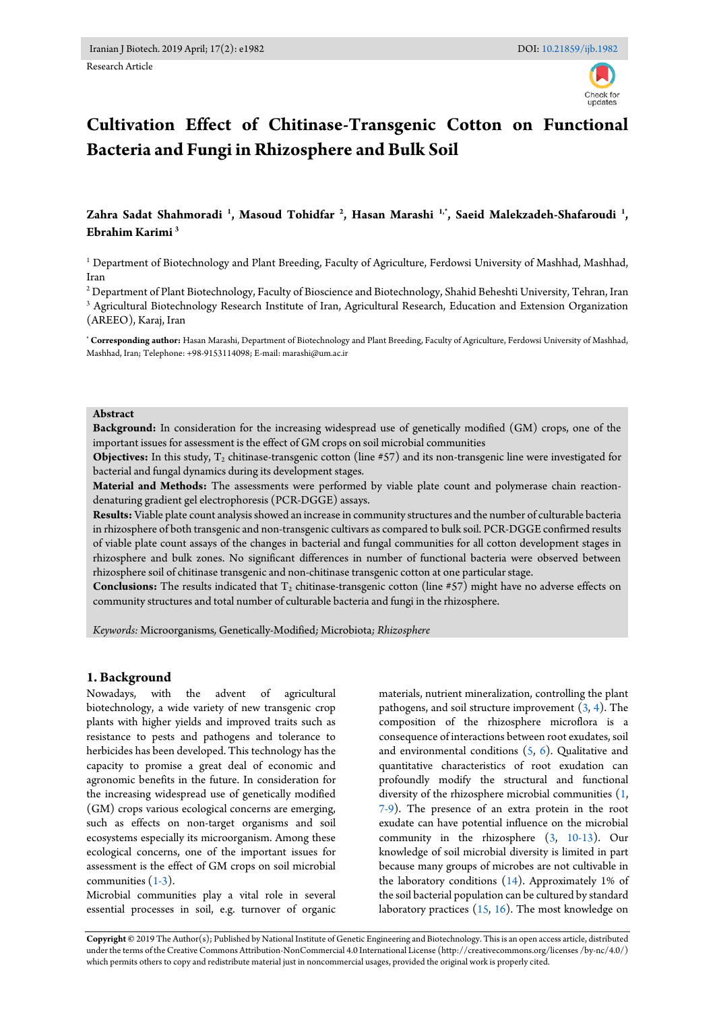Research Article

# **Cultivation Effect of Chitinase-Transgenic Cotton on Functional Bacteria and Fungi in Rhizosphere and Bulk Soil**

# **Zahra Sadat Shahmoradi <sup>1</sup> , Masoud Tohidfar <sup>2</sup> , Hasan Marashi 1,\*, Saeid Malekzadeh-Shafaroudi <sup>1</sup> , Ebrahim Karimi <sup>3</sup>**

<sup>1</sup> Department of Biotechnology and Plant Breeding, Faculty of Agriculture, Ferdowsi University of Mashhad, Mashhad, Iran

 $^{\rm 2}$  Department of Plant Biotechnology, Faculty of Bioscience and Biotechnology, Shahid Beheshti University, Tehran, Iran 3 Agricultural Biotechnology Research Institute of Iran, Agricultural Research, Education and Extension Organization (AREEO), Karaj, Iran

**\* Corresponding author:** Hasan Marashi, Department of Biotechnology and Plant Breeding, Faculty of Agriculture, Ferdowsi University of Mashhad, Mashhad, Iran; Telephone: +98-9153114098; E-mail: marashi@um.ac.ir

#### **Abstract**

**Background:** In consideration for the increasing widespread use of genetically modified (GM) crops, one of the important issues for assessment is the effect of GM crops on soil microbial communities

**Objectives:** In this study,  $T_2$  chitinase-transgenic cotton (line  $#57$ ) and its non-transgenic line were investigated for bacterial and fungal dynamics during its development stages.

**Material and Methods:** The assessments were performed by viable plate count and polymerase chain reactiondenaturing gradient gel electrophoresis (PCR-DGGE) assays.

**Results:** Viable plate count analysis showed an increase in community structures and the number of culturable bacteria in rhizosphere of both transgenic and non-transgenic cultivars as compared to bulk soil. PCR-DGGE confirmed results of viable plate count assays of the changes in bacterial and fungal communities for all cotton development stages in rhizosphere and bulk zones. No significant differences in number of functional bacteria were observed between rhizosphere soil of chitinase transgenic and non-chitinase transgenic cotton at one particular stage.

**Conclusions:** The results indicated that T<sub>2</sub> chitinase-transgenic cotton (line #57) might have no adverse effects on community structures and total number of culturable bacteria and fungi in the rhizosphere.

*Keywords:* Microorganisms*,* Genetically*-*Modified*;* Microbiota*; Rhizosphere*

# **1. Background**

Nowadays, with the advent of agricultural biotechnology, a wide variety of new transgenic crop plants with higher yields and improved traits such as resistance to pests and pathogens and tolerance to herbicides has been developed. This technology has the capacity to promise a great deal of economic and agronomic benefits in the future. In consideration for the increasing widespread use of genetically modified (GM) crops various ecological concerns are emerging, such as effects on non-target organisms and soil ecosystems especially its microorganism. Among these ecological concerns, one of the important issues for assessment is the effect of GM crops on soil microbial communities  $(1-3)$ .

Microbial communities play a vital role in several essential processes in soil, e.g. turnover of organic materials, nutrient mineralization, controlling the plant pathogens, and soil structure improvement  $(3, 4)$  $(3, 4)$ . The composition of the rhizosphere microflora is a consequence of interactions between root exudates, soil and environmental conditions  $(5, 6)$  $(5, 6)$ . Qualitative and quantitative characteristics of root exudation can profoundly modify the structural and functional diversity of the rhizosphere microbial communities [\(1,](#page-4-0)  [7-9\)](#page-4-5). The presence of an extra protein in the root exudate can have potential influence on the microbial community in the rhizosphere [\(3,](#page-4-1) [10-13\)](#page-4-6). Our knowledge of soil microbial diversity is limited in part because many groups of microbes are not cultivable in the laboratory conditions [\(14\)](#page-5-0). Approximately 1% of the soil bacterial population can be cultured by standard laboratory practices  $(15, 16)$  $(15, 16)$ . The most knowledge on

**Copyright ©** 2019 The Author(s); Published by National Institute of Genetic Engineering and Biotechnology. This is an open access article, distributed under the terms of the Creative Commons Attribution-NonCommercial 4.0 International License (http://creativecommons.org/licenses /by-nc/4.0/) which permits others to copy and redistribute material just in noncommercial usages, provided the original work is properly cited.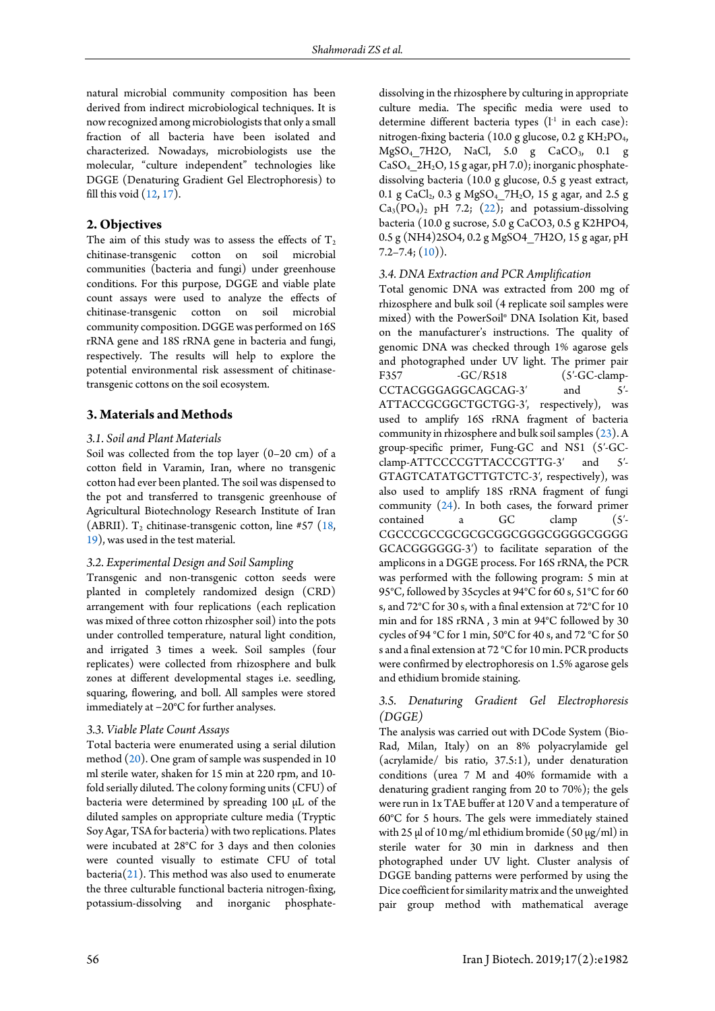natural microbial community composition has been derived from indirect microbiological techniques. It is now recognized among microbiologists that only a small fraction of all bacteria have been isolated and characterized. Nowadays, microbiologists use the molecular, "culture independent" technologies like DGGE (Denaturing Gradient Gel Electrophoresis) to fill this void [\(12,](#page-5-3) [17\)](#page-5-4).

# **2. Objectives**

The aim of this study was to assess the effects of  $T_2$ chitinase-transgenic cotton on soil microbial communities (bacteria and fungi) under greenhouse conditions. For this purpose, DGGE and viable plate count assays were used to analyze the effects of chitinase-transgenic cotton on soil microbial community composition. DGGE was performed on 16S rRNA gene and 18S rRNA gene in bacteria and fungi, respectively. The results will help to explore the potential environmental risk assessment of chitinasetransgenic cottons on the soil ecosystem.

# **3. Materials and Methods**

## *3.1. Soil and Plant Materials*

Soil was collected from the top layer (0–20 cm) of a cotton field in Varamin, Iran, where no transgenic cotton had ever been planted. The soil was dispensed to the pot and transferred to transgenic greenhouse of Agricultural Biotechnology Research Institute of Iran (ABRII).  $T_2$  chitinase-transgenic cotton, line #57 (18, [19\)](#page-5-6), was used in the test material.

## *3.2. Experimental Design and Soil Sampling*

Transgenic and non-transgenic cotton seeds were planted in completely randomized design (CRD) arrangement with four replications (each replication was mixed of three cotton rhizospher soil) into the pots under controlled temperature, natural light condition, and irrigated 3 times a week. Soil samples (four replicates) were collected from rhizosphere and bulk zones at different developmental stages i.e. seedling, squaring, flowering, and boll. All samples were stored immediately at −20°C for further analyses.

#### *3.3. Viable Plate Count Assays*

Total bacteria were enumerated using a serial dilution method [\(20\)](#page-5-7). One gram of sample was suspended in 10 ml sterile water, shaken for 15 min at 220 rpm, and 10 fold serially diluted. The colony forming units (CFU) of bacteria were determined by spreading 100 μL of the diluted samples on appropriate culture media (Tryptic Soy Agar, TSA for bacteria) with two replications. Plates were incubated at 28°C for 3 days and then colonies were counted visually to estimate CFU of total bacteria[\(21\)](#page-5-8). This method was also used to enumerate the three culturable functional bacteria nitrogen-fixing, potassium-dissolving and inorganic phosphatedissolving in the rhizosphere by culturing in appropriate culture media. The specific media were used to determine different bacteria types  $(l<sup>-1</sup>$  in each case): nitrogen-fixing bacteria (10.0 g glucose, 0.2 g KH<sub>2</sub>PO<sub>4</sub>, MgSO4\_7H2O, NaCl, 5.0 g CaCO3, 0.1 g  $CaSO<sub>4</sub>$   $2H<sub>2</sub>O$ , 15 g agar, pH 7.0); inorganic phosphatedissolving bacteria (10.0 g glucose, 0.5 g yeast extract, 0.1 g CaCl<sub>2</sub>, 0.3 g MgSO<sub>4</sub>  $7H_2O$ , 15 g agar, and 2.5 g  $Ca_3(PO_4)_2$  pH 7.2; [\(22\)](#page-5-9); and potassium-dissolving bacteria (10.0 g sucrose, 5.0 g CaCO3, 0.5 g K2HPO4, 0.5 g (NH4)2SO4, 0.2 g MgSO4\_7H2O, 15 g agar, pH  $7.2 - 7.4$ ;  $(10)$ ).

## *3.4. DNA Extraction and PCR Amplification*

Total genomic DNA was extracted from 200 mg of rhizosphere and bulk soil (4 replicate soil samples were mixed) with the PowerSoil® DNA Isolation Kit, based on the manufacturer's instructions. The quality of genomic DNA was checked through 1% agarose gels and photographed under UV light. The primer pair<br>F357 -GC/R518 (5'-GC-clamp-F357 -GC/R518 (5'-GC-clamp-<br>CCTACGGGAGGCAGCAG-3' and 5'-CCTACGGGAGGCAGCAG-3' and ATTACCGCGGCTGCTGG-3′, respectively), was used to amplify 16S rRNA fragment of bacteria community in rhizosphere and bulk soil samples [\(23\)](#page-5-10). A group-specific primer, Fung-GC and NS1 (5′-GCclamp-ATTCCCCGTTACCCGTTG-3' and 5'-GTAGTCATATGCTTGTCTC-3′, respectively), was also used to amplify 18S rRNA fragment of fungi community [\(24\)](#page-5-11). In both cases, the forward primer contained a GC clamp (5′- CGCCCGCCGCGCGCGGCGGGCGGGGCGGGG GCACGGGGGG-3′) to facilitate separation of the amplicons in a DGGE process. For 16S rRNA, the PCR was performed with the following program: 5 min at 95°C, followed by 35cycles at 94°C for 60 s, 51°C for 60 s, and 72°C for 30 s, with a final extension at 72°C for 10 min and for 18S rRNA , 3 min at 94°C followed by 30 cycles of 94 °C for 1 min, 50°C for 40 s, and 72 °C for 50 s and a final extension at 72 °C for 10 min. PCR products were confirmed by electrophoresis on 1.5% agarose gels and ethidium bromide staining.

# *3.5. Denaturing Gradient Gel Electrophoresis (DGGE)*

The analysis was carried out with DCode System (Bio-Rad, Milan, Italy) on an 8% polyacrylamide gel (acrylamide/ bis ratio, 37.5:1), under denaturation conditions (urea 7 M and 40% formamide with a denaturing gradient ranging from 20 to 70%); the gels were run in 1x TAE buffer at 120 V and a temperature of 60°C for 5 hours. The gels were immediately stained with 25  $\mu$ l of 10 mg/ml ethidium bromide (50  $\mu$ g/ml) in sterile water for 30 min in darkness and then photographed under UV light. Cluster analysis of DGGE banding patterns were performed by using the Dice coefficient for similarity matrix and the unweighted pair group method with mathematical average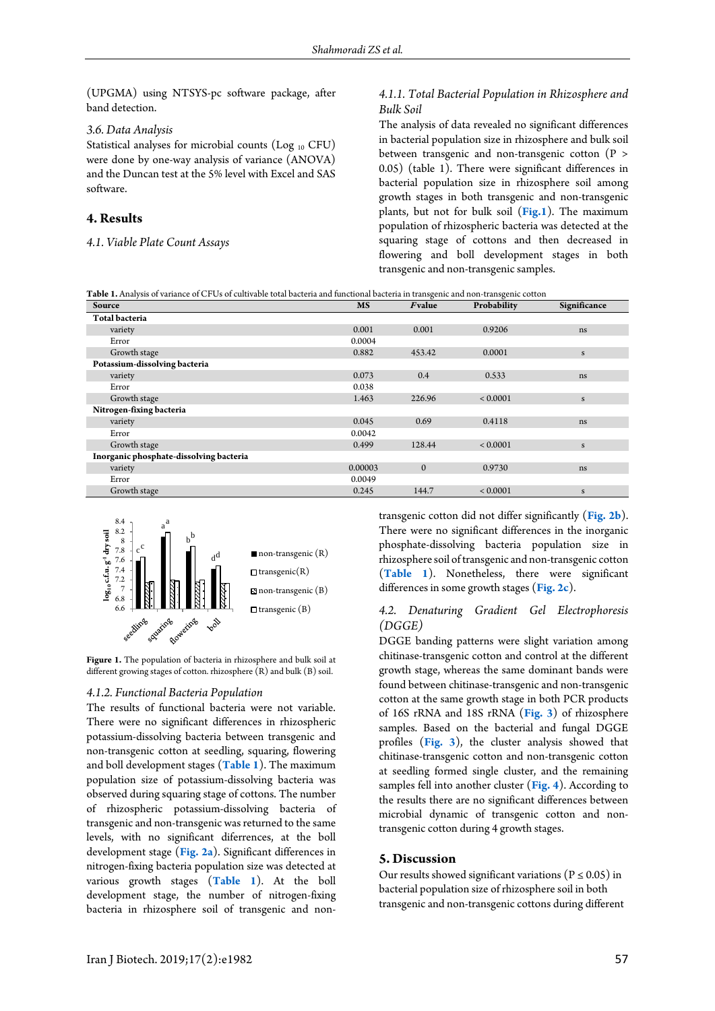(UPGMA) using NTSYS-pc software package, after band detection.

#### *3.6. Data Analysis*

Statistical analyses for microbial counts (Log <sup>10</sup> CFU) were done by one-way analysis of variance (ANOVA) and the Duncan test at the 5% level with Excel and SAS software.

# **4. Results**

*4.1. Viable Plate Count Assays*

#### *4.1.1. Total Bacterial Population in Rhizosphere and Bulk Soil*

The analysis of data revealed no significant differences in bacterial population size in rhizosphere and bulk soil between transgenic and non-transgenic cotton (P > 0.05) (table 1). There were significant differences in bacterial population size in rhizosphere soil among growth stages in both transgenic and non-transgenic plants, but not for bulk soil (**[Fig.1](#page-2-0)**). The maximum population of rhizospheric bacteria was detected at the squaring stage of cottons and then decreased in flowering and boll development stages in both transgenic and non-transgenic samples.

<span id="page-2-1"></span>

| Table 1. Analysis of variance of CFUs of cultivable total bacteria and functional bacteria in transgenic and non-transgenic cotton |  |
|------------------------------------------------------------------------------------------------------------------------------------|--|
|------------------------------------------------------------------------------------------------------------------------------------|--|

|         |              |              | Significance |
|---------|--------------|--------------|--------------|
|         |              |              |              |
| 0.001   | 0.001        | 0.9206       | ns           |
| 0.0004  |              |              |              |
| 0.882   | 453.42       | 0.0001       | $\mathbf S$  |
|         |              |              |              |
| 0.073   | 0.4          | 0.533        | ns           |
| 0.038   |              |              |              |
| 1.463   | 226.96       | ${}< 0.0001$ | $\mathbf S$  |
|         |              |              |              |
| 0.045   | 0.69         | 0.4118       | ns           |
| 0.0042  |              |              |              |
| 0.499   | 128.44       | ${}< 0.0001$ | $\mathbf S$  |
|         |              |              |              |
| 0.00003 | $\mathbf{0}$ | 0.9730       | ns           |
| 0.0049  |              |              |              |
| 0.245   | 144.7        | < 0.0001     | S            |
|         | <b>MS</b>    | Fvalue       | Probability  |

<span id="page-2-0"></span>

**Figure 1.** The population of bacteria in rhizosphere and bulk soil at different growing stages of cotton. rhizosphere (R) and bulk (B) soil.

#### *4.1.2. Functional Bacteria Population*

The results of functional bacteria were not variable. There were no significant differences in rhizospheric potassium-dissolving bacteria between transgenic and non-transgenic cotton at seedling, squaring, flowering and boll development stages (**[Table 1](#page-2-1)**). The maximum population size of potassium-dissolving bacteria was observed during squaring stage of cottons. The number of rhizospheric potassium-dissolving bacteria of transgenic and non-transgenic was returned to the same levels, with no significant diferrences, at the boll development stage (**[Fig. 2a](#page-2-2)**). Significant differences in nitrogen-fixing bacteria population size was detected at various growth stages (**[Table 1](#page-2-1)**). At the boll development stage, the number of nitrogen-fixing bacteria in rhizosphere soil of transgenic and nontransgenic cotton did not differ significantly (**[Fig. 2b](#page-2-2)**). There were no significant differences in the inorganic phosphate-dissolving bacteria population size in rhizosphere soil of transgenic and non-transgenic cotton (**[Table 1](#page-2-1)**). Nonetheless, there were significant differences in some growth stages (**[Fig. 2c](#page-2-2)**).

# <span id="page-2-2"></span>*4.2. Denaturing Gradient Gel Electrophoresis (DGGE)*

DGGE banding patterns were slight variation among chitinase-transgenic cotton and control at the different growth stage, whereas the same dominant bands were found between chitinase-transgenic and non-transgenic cotton at the same growth stage in both PCR products of 16S rRNA and 18S rRNA (**[Fig. 3](#page-3-0)**) of rhizosphere samples. Based on the bacterial and fungal DGGE profiles (**[Fig. 3](#page-3-0)**), the cluster analysis showed that chitinase-transgenic cotton and non-transgenic cotton at seedling formed single cluster, and the remaining samples fell into another cluster (**[Fig. 4](#page-4-7)**). According to the results there are no significant differences between microbial dynamic of transgenic cotton and nontransgenic cotton during 4 growth stages.

## **5. Discussion**

Our results showed significant variations (P  $\leq$  0.05) in bacterial population size of rhizosphere soil in both transgenic and non-transgenic cottons during different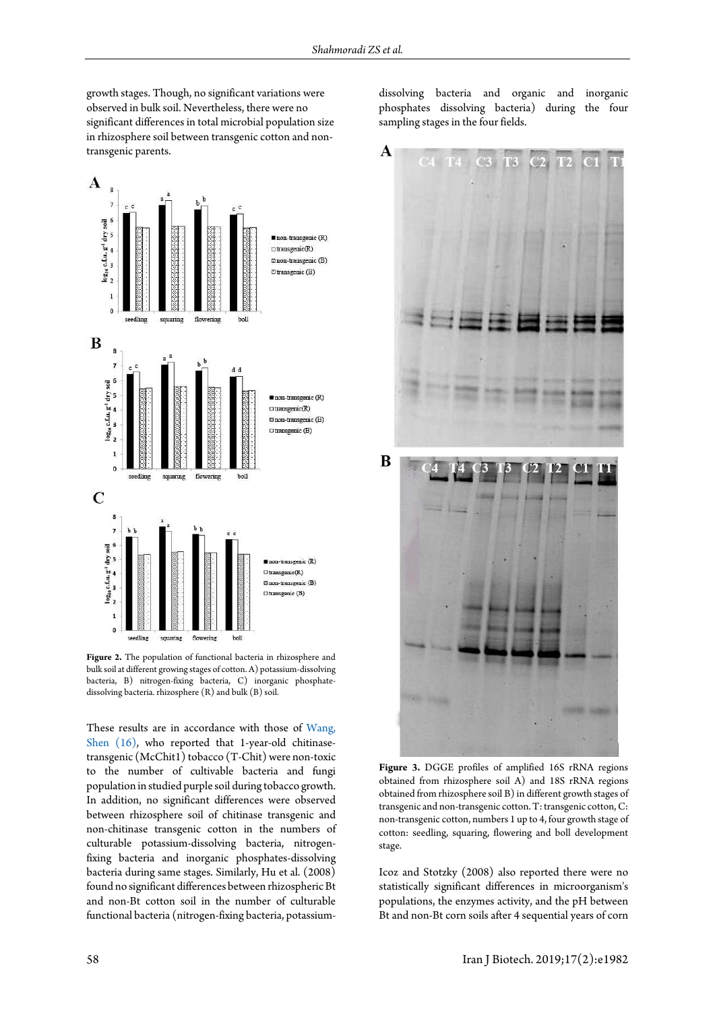growth stages. Though, no significant variations were observed in bulk soil. Nevertheless, there were no significant differences in total microbial population size in rhizosphere soil between transgenic cotton and nontransgenic parents.



**Figure 2.** The population of functional bacteria in rhizosphere and bulk soil at different growing stages of cotton. A) potassium-dissolving bacteria, B) nitrogen-fixing bacteria, C) inorganic phosphatedissolving bacteria. rhizosphere (R) and bulk (B) soil.

<span id="page-3-0"></span>These results are in accordance with those of [Wang,](#page-5-2)  Shen (16), who reported that 1-year-old chitinasetransgenic (McChit1) tobacco (T-Chit) were non-toxic to the number of cultivable bacteria and fungi population in studied purple soil during tobacco growth. In addition, no significant differences were observed between rhizosphere soil of chitinase transgenic and non-chitinase transgenic cotton in the numbers of culturable potassium-dissolving bacteria, nitrogenfixing bacteria and inorganic phosphates-dissolving bacteria during same stages. Similarly, Hu et al. (2008) found no significant differences between rhizospheric Bt and non-Bt cotton soil in the number of culturable functional bacteria (nitrogen-fixing bacteria, potassiumdissolving bacteria and organic and inorganic phosphates dissolving bacteria) during the four sampling stages in the four fields.



**Figure 3.** DGGE profiles of amplified 16S rRNA regions obtained from rhizosphere soil A) and 18S rRNA regions obtained from rhizosphere soil B) in different growth stages of transgenic and non-transgenic cotton. T: transgenic cotton, C: non-transgenic cotton, numbers 1 up to 4, four growth stage of cotton: seedling, squaring, flowering and boll development stage.

Icoz and Stotzky (2008) also reported there were no statistically significant differences in microorganism's populations, the enzymes activity, and the pH between Bt and non-Bt corn soils after 4 sequential years of corn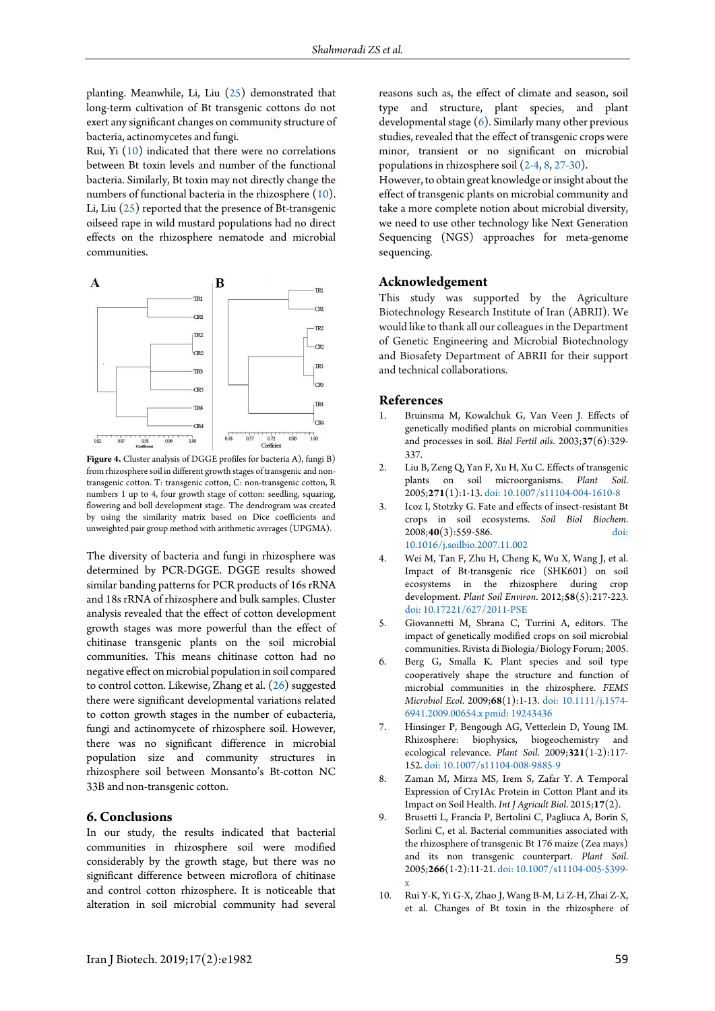planting. Meanwhile, Li, Liu [\(25\)](#page-5-12) demonstrated that long-term cultivation of Bt transgenic cottons do not exert any significant changes on community structure of bacteria, actinomycetes and fungi.

Rui, Yi [\(10\)](#page-4-6) indicated that there were no correlations between Bt toxin levels and number of the functional bacteria. Similarly, Bt toxin may not directly change the numbers of functional bacteria in the rhizosphere [\(10\)](#page-4-6). Li, Liu [\(25\)](#page-5-12) reported that the presence of Bt-transgenic oilseed rape in wild mustard populations had no direct effects on the rhizosphere nematode and microbial communities.

<span id="page-4-7"></span>

**Figure 4.** Cluster analysis of DGGE profiles for bacteria A), fungi B) from rhizosphere soil in different growth stages of transgenic and nontransgenic cotton. T: transgenic cotton, C: non-transgenic cotton, R numbers 1 up to 4, four growth stage of cotton: seedling, squaring, flowering and boll development stage. The dendrogram was created by using the similarity matrix based on Dice coefficients and unweighted pair group method with arithmetic averages (UPGMA).

The diversity of bacteria and fungi in rhizosphere was determined by PCR-DGGE. DGGE results showed similar banding patterns for PCR products of 16s rRNA and 18s rRNA of rhizosphere and bulk samples. Cluster analysis revealed that the effect of cotton development growth stages was more powerful than the effect of chitinase transgenic plants on the soil microbial communities. This means chitinase cotton had no negative effect on microbial population in soil compared to control cotton. Likewise, Zhang et al. [\(26\)](#page-5-13) suggested there were significant developmental variations related to cotton growth stages in the number of eubacteria, fungi and actinomycete of rhizosphere soil. However, there was no significant difference in microbial population size and community structures in rhizosphere soil between Monsanto's Bt-cotton NC 33B and non-transgenic cotton.

## **6. Conclusions**

In our study, the results indicated that bacterial communities in rhizosphere soil were modified considerably by the growth stage, but there was no significant difference between microflora of chitinase and control cotton rhizosphere. It is noticeable that alteration in soil microbial community had several reasons such as, the effect of climate and season, soil type and structure, plant species, and plant developmental stage [\(6\)](#page-4-4). Similarly many other previous studies, revealed that the effect of transgenic crops were minor, transient or no significant on microbial populations in rhizosphere soil [\(2-4,](#page-4-8) [8,](#page-4-9) [27-30\)](#page-5-14).

However, to obtain great knowledge or insight about the effect of transgenic plants on microbial community and take a more complete notion about microbial diversity, we need to use other technology like Next Generation Sequencing (NGS) approaches for meta-genome sequencing.

#### **Acknowledgement**

This study was supported by the Agriculture Biotechnology Research Institute of Iran (ABRII). We would like to thank all our colleagues in the Department of Genetic Engineering and Microbial Biotechnology and Biosafety Department of ABRII for their support and technical collaborations.

#### **References**

- <span id="page-4-0"></span>1. Bruinsma M, Kowalchuk G, Van Veen J. Effects of genetically modified plants on microbial communities and processes in soil. *Biol Fertil oils*. 2003;**37**(6):329- 337.
- <span id="page-4-8"></span>2. Liu B, Zeng Q, Yan F, Xu H, Xu C. Effects of transgenic plants on soil microorganisms. *Plant Soil*. 2005;**271**(1):1-13[. doi: 10.1007/s11104-004-1610-8](http://dx.doi.org/10.1007/s11104-004-1610-8)
- <span id="page-4-1"></span>3. Icoz I, Stotzky G. Fate and effects of insect-resistant Bt crops in soil ecosystems. *Soil Biol Biochem*. 2008;**40**(3):559-586. [doi:](http://dx.doi.org/10.1016/j.soilbio.2007.11.002)  [10.1016/j.soilbio.2007.11.002](http://dx.doi.org/10.1016/j.soilbio.2007.11.002)
- <span id="page-4-2"></span>4. Wei M, Tan F, Zhu H, Cheng K, Wu X, Wang J, et al. Impact of Bt-transgenic rice (SHK601) on soil ecosystems in the rhizosphere during crop development. *Plant Soil Environ*. 2012;**58**(5):217-223. [doi: 10.17221/627/2011-PSE](http://dx.doi.org/10.17221/627/2011-PSE)
- <span id="page-4-3"></span>5. Giovannetti M, Sbrana C, Turrini A, editors. The impact of genetically modified crops on soil microbial communities. Rivista di Biologia/Biology Forum; 2005.
- <span id="page-4-4"></span>6. Berg G, Smalla K. Plant species and soil type cooperatively shape the structure and function of microbial communities in the rhizosphere. *FEMS Microbiol Ecol*. 2009;**68**(1):1-13. [doi: 10.1111/j.1574-](http://dx.doi.org/10.1111/j.1574-6941.2009.00654.x) [6941.2009.00654.x](http://dx.doi.org/10.1111/j.1574-6941.2009.00654.x) [pmid: 19243436](www.ncbi.nlm.nih.gov/pubmed/19243436)
- <span id="page-4-5"></span>7. Hinsinger P, Bengough AG, Vetterlein D, Young IM. Rhizosphere: biophysics, biogeochemistry and ecological relevance. *Plant Soil*. 2009;**321**(1-2):117- 152[. doi: 10.1007/s11104-008-9885-9](http://dx.doi.org/10.1007/s11104-008-9885-9)
- <span id="page-4-9"></span>8. Zaman M, Mirza MS, Irem S, Zafar Y. A Temporal Expression of Cry1Ac Protein in Cotton Plant and its Impact on Soil Health. *Int J Agricult Biol*. 2015;**17**(2).
- 9. Brusetti L, Francia P, Bertolini C, Pagliuca A, Borin S, Sorlini C, et al. Bacterial communities associated with the rhizosphere of transgenic Bt 176 maize (Zea mays) and its non transgenic counterpart. *Plant Soil*. 2005;**266**(1-2):11-21[. doi: 10.1007/s11104-005-5399](http://dx.doi.org/10.1007/s11104-005-5399-x) [x](http://dx.doi.org/10.1007/s11104-005-5399-x)
- <span id="page-4-6"></span>10. Rui Y-K, Yi G-X, Zhao J, Wang B-M, Li Z-H, Zhai Z-X, et al. Changes of Bt toxin in the rhizosphere of